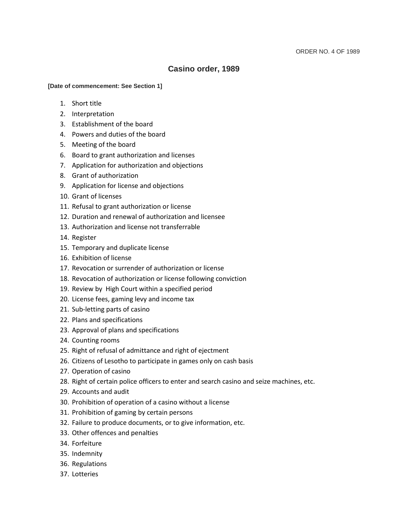# **Casino order, 1989**

## **[Date of commencement: See Section 1]**

- 1. Short title
- 2. Interpretation
- 3. Establishment of the board
- 4. Powers and duties of the board
- 5. Meeting of the board
- 6. Board to grant authorization and licenses
- 7. Application for authorization and objections
- 8. Grant of authorization
- 9. Application for license and objections
- 10. Grant of licenses
- 11. Refusal to grant authorization or license
- 12. Duration and renewal of authorization and licensee
- 13. Authorization and license not transferrable
- 14. Register
- 15. Temporary and duplicate license
- 16. Exhibition of license
- 17. Revocation or surrender of authorization or license
- 18. Revocation of authorization or license following conviction
- 19. Review by High Court within a specified period
- 20. License fees, gaming levy and income tax
- 21. Sub-letting parts of casino
- 22. Plans and specifications
- 23. Approval of plans and specifications
- 24. Counting rooms
- 25. Right of refusal of admittance and right of ejectment
- 26. Citizens of Lesotho to participate in games only on cash basis
- 27. Operation of casino
- 28. Right of certain police officers to enter and search casino and seize machines, etc.
- 29. Accounts and audit
- 30. Prohibition of operation of a casino without a license
- 31. Prohibition of gaming by certain persons
- 32. Failure to produce documents, or to give information, etc.
- 33. Other offences and penalties
- 34. Forfeiture
- 35. Indemnity
- 36. Regulations
- 37. Lotteries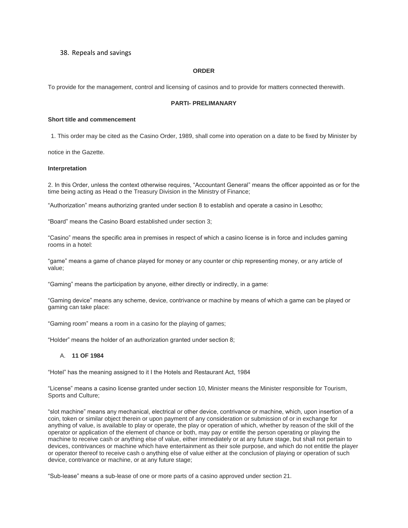## 38. Repeals and savings

#### **ORDER**

To provide for the management, control and licensing of casinos and to provide for matters connected therewith.

#### **PARTI- PRELIMANARY**

#### **Short title and commencement**

1. This order may be cited as the Casino Order, 1989, shall come into operation on a date to be fixed by Minister by

notice in the Gazette.

#### **Interpretation**

2. In this Order, unless the context otherwise requires, "Accountant General" means the officer appointed as or for the time being acting as Head o the Treasury Division in the Ministry of Finance;

"Authorization" means authorizing granted under section 8 to establish and operate a casino in Lesotho;

"Board" means the Casino Board established under section 3;

"Casino" means the specific area in premises in respect of which a casino license is in force and includes gaming rooms in a hotel:

"game" means a game of chance played for money or any counter or chip representing money, or any article of value;

"Gaming" means the participation by anyone, either directly or indirectly, in a game:

"Gaming device" means any scheme, device, contrivance or machine by means of which a game can be played or gaming can take place:

"Gaming room" means a room in a casino for the playing of games;

"Holder" means the holder of an authorization granted under section 8;

## A. **11 OF 1984**

"Hotel" has the meaning assigned to it I the Hotels and Restaurant Act, 1984

"License" means a casino license granted under section 10, Minister means the Minister responsible for Tourism, Sports and Culture;

"slot machine" means any mechanical, electrical or other device, contrivance or machine, which, upon insertion of a coin, token or similar object therein or upon payment of any consideration or submission of or in exchange for anything of value, is available to play or operate, the play or operation of which, whether by reason of the skill of the operator or application of the element of chance or both, may pay or entitle the person operating or playing the machine to receive cash or anything else of value, either immediately or at any future stage, but shall not pertain to devices, contrivances or machine which have entertainment as their sole purpose, and which do not entitle the player or operator thereof to receive cash o anything else of value either at the conclusion of playing or operation of such device, contrivance or machine, or at any future stage;

"Sub-lease" means a sub-lease of one or more parts of a casino approved under section 21.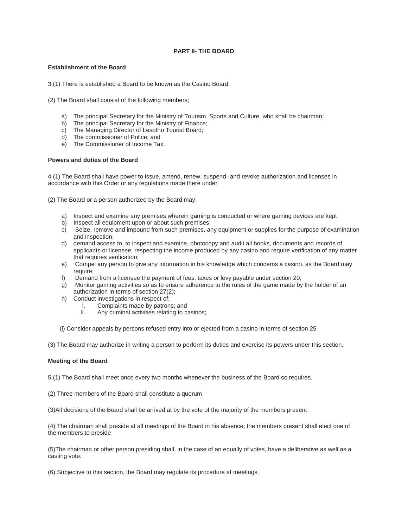## **PART II- THE BOARD**

## **Establishment of the Board**

3.(1) There is established a Board to be known as the Casino Board.

(2) The Board shall consist of the following members;

- a) The principal Secretary for the Ministry of Tourism, Sports and Culture, who shall be chairman;
- b) The principal Secretary for the Ministry of Finance;
- c) The Managing Director of Lesotho Tourist Board;
- d) The commissioner of Police; and
- e) The Commissioner of Income Tax.

#### **Powers and duties of the Board**

4.(1) The Board shall have power to issue, amend, renew, suspend- and revoke authorization and licenses in accordance with this Order or any regulations made there under

(2) The Board or a person authorized by the Board may;

- a) Inspect and examine any premises wherein gaming is conducted or where gaming devices are kept
- b) Inspect all equipment upon or about such premises;
- c) Seize, remove and impound from such premises, any equipment or supplies for the purpose of examination and inspection;
- d) demand access to, to inspect and examine, photocopy and audit all books, documents and records of applicants or licensee, respecting the income produced by any casino and require verification of any matter that requires verification;
- e) Compel any person to give any information in his knowledge which concerns a casino, as the Board may require;
- f) Demand from a licensee the payment of fees, taxes or levy payable under section 20;
- g) Monitor gaming activities so as to ensure adherence to the rules of the game made by the holder of an authorization in terms of section 27(2);
- h) Conduct investigations in respect of;
	- I. Complaints made by patrons; and<br>II. Any criminal activities relating to ca
		- Any criminal activities relating to casinos;

(i) Consider appeals by persons refused entry into or ejected from a casino in terms of section 25

(3) The Board may authorize in writing a person to perform its duties and exercise its powers under this section.

## **Meeting of the Board**

5.(1) The Board shall meet once every two months whenever the business of the Board so requires.

(2) Three members of the Board shall constitute a quorum

(3)All decisions of the Board shall be arrived at by the vote of the majority of the members present

(4) The chairman shall preside at all meetings of the Board in his absence; the members present shall elect one of the members to preside

(5)The chairman or other person presiding shall, in the case of an equally of votes, have a deliberative as well as a casting vote.

(6) Subjective to this section, the Board may regulate its procedure at meetings.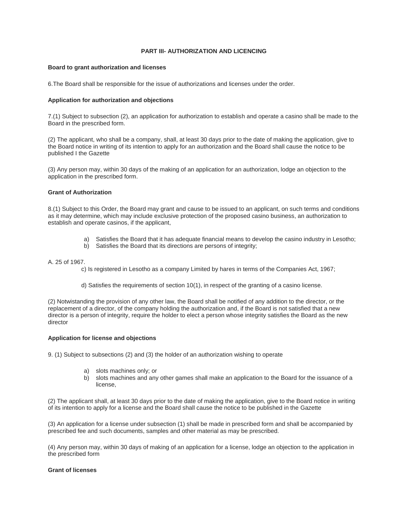## **PART III- AUTHORIZATION AND LICENCING**

#### **Board to grant authorization and licenses**

6.The Board shall be responsible for the issue of authorizations and licenses under the order.

#### **Application for authorization and objections**

7.(1) Subject to subsection (2), an application for authorization to establish and operate a casino shall be made to the Board in the prescribed form.

(2) The applicant, who shall be a company, shall, at least 30 days prior to the date of making the application, give to the Board notice in writing of its intention to apply for an authorization and the Board shall cause the notice to be published I the Gazette

(3) Any person may, within 30 days of the making of an application for an authorization, lodge an objection to the application in the prescribed form.

## **Grant of Authorization**

8.(1) Subject to this Order, the Board may grant and cause to be issued to an applicant, on such terms and conditions as it may determine, which may include exclusive protection of the proposed casino business, an authorization to establish and operate casinos, if the applicant,

- a) Satisfies the Board that it has adequate financial means to develop the casino industry in Lesotho;
- b) Satisfies the Board that its directions are persons of integrity;

#### A. 25 of 1967.

c) Is registered in Lesotho as a company Limited by hares in terms of the Companies Act, 1967;

d) Satisfies the requirements of section 10(1), in respect of the granting of a casino license.

(2) Notwistanding the provision of any other law, the Board shall be notified of any addition to the director, or the replacement of a director, of the company holding the authorization and, if the Board is not satisfied that a new director is a person of integrity, require the holder to elect a person whose integrity satisfies the Board as the new director

#### **Application for license and objections**

9. (1) Subject to subsections (2) and (3) the holder of an authorization wishing to operate

- a) slots machines only; or
- b) slots machines and any other games shall make an application to the Board for the issuance of a license,

(2) The applicant shall, at least 30 days prior to the date of making the application, give to the Board notice in writing of its intention to apply for a license and the Board shall cause the notice to be published in the Gazette

(3) An application for a license under subsection (1) shall be made in prescribed form and shall be accompanied by prescribed fee and such documents, samples and other material as may be prescribed.

(4) Any person may, within 30 days of making of an application for a license, lodge an objection to the application in the prescribed form

#### **Grant of licenses**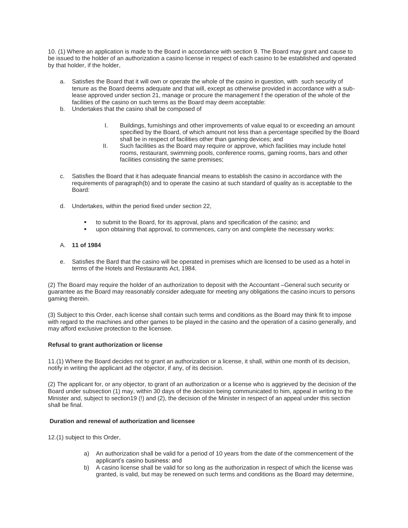10. (1) Where an application is made to the Board in accordance with section 9. The Board may grant and cause to be issued to the holder of an authorization a casino license in respect of each casino to be established and operated by that holder, if the holder,

- a. Satisfies the Board that it will own or operate the whole of the casino in question, with such security of tenure as the Board deems adequate and that will, except as otherwise provided in accordance with a sublease approved under section 21, manage or procure the management f the operation of the whole of the facilities of the casino on such terms as the Board may deem acceptable:
- b. Undertakes that the casino shall be composed of
	- I. Buildings, furnishings and other improvements of value equal to or exceeding an amount specified by the Board, of which amount not less than a percentage specified by the Board shall be in respect of facilities other than gaming devices; and
	- II. Such facilities as the Board may require or approve, which facilities may include hotel rooms, restaurant, swimming pools, conference rooms, gaming rooms, bars and other facilities consisting the same premises;
- c. Satisfies the Board that it has adequate financial means to establish the casino in accordance with the requirements of paragraph(b) and to operate the casino at such standard of quality as is acceptable to the Board:
- d. Undertakes, within the period fixed under section 22,
	- to submit to the Board, for its approval, plans and specification of the casino; and
	- upon obtaining that approval, to commences, carry on and complete the necessary works:

## A. **11 of 1984**

e. Satisfies the Bard that the casino will be operated in premises which are licensed to be used as a hotel in terms of the Hotels and Restaurants Act, 1984.

(2) The Board may require the holder of an authorization to deposit with the Accountant –General such security or guarantee as the Board may reasonably consider adequate for meeting any obligations the casino incurs to persons gaming therein.

(3) Subject to this Order, each license shall contain such terms and conditions as the Board may think fit to impose with regard to the machines and other games to be played in the casino and the operation of a casino generally, and may afford exclusive protection to the licensee.

## **Refusal to grant authorization or license**

11.(1) Where the Board decides not to grant an authorization or a license, it shall, within one month of its decision, notify in writing the applicant ad the objector, if any, of its decision.

(2) The applicant for, or any objector, to grant of an authorization or a license who is aggrieved by the decision of the Board under subsection (1) may, within 30 days of the decision being communicated to him, appeal in writing to the Minister and, subject to section19 (!) and (2), the decision of the Minister in respect of an appeal under this section shall be final.

## **Duration and renewal of authorization and licensee**

12.(1) subject to this Order,

- a) An authorization shall be valid for a period of 10 years from the date of the commencement of the applicant's casino business: and
- b) A casino license shall be valid for so long as the authorization in respect of which the license was granted, is valid, but may be renewed on such terms and conditions as the Board may determine,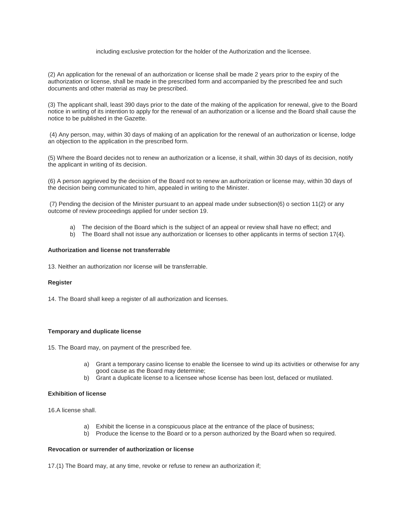#### including exclusive protection for the holder of the Authorization and the licensee.

(2) An application for the renewal of an authorization or license shall be made 2 years prior to the expiry of the authorization or license, shall be made in the prescribed form and accompanied by the prescribed fee and such documents and other material as may be prescribed.

(3) The applicant shall, least 390 days prior to the date of the making of the application for renewal, give to the Board notice in writing of its intention to apply for the renewal of an authorization or a license and the Board shall cause the notice to be published in the Gazette.

(4) Any person, may, within 30 days of making of an application for the renewal of an authorization or license, lodge an objection to the application in the prescribed form.

(5) Where the Board decides not to renew an authorization or a license, it shall, within 30 days of its decision, notify the applicant in writing of its decision.

(6) A person aggrieved by the decision of the Board not to renew an authorization or license may, within 30 days of the decision being communicated to him, appealed in writing to the Minister.

(7) Pending the decision of the Minister pursuant to an appeal made under subsection(6) o section 11(2) or any outcome of review proceedings applied for under section 19.

- a) The decision of the Board which is the subject of an appeal or review shall have no effect; and
- b) The Board shall not issue any authorization or licenses to other applicants in terms of section 17(4).

### **Authorization and license not transferrable**

13. Neither an authorization nor license will be transferrable.

#### **Register**

14. The Board shall keep a register of all authorization and licenses.

## **Temporary and duplicate license**

15. The Board may, on payment of the prescribed fee.

- a) Grant a temporary casino license to enable the licensee to wind up its activities or otherwise for any good cause as the Board may determine;
- b) Grant a duplicate license to a licensee whose license has been lost, defaced or mutilated.

#### **Exhibition of license**

16.A license shall.

- a) Exhibit the license in a conspicuous place at the entrance of the place of business;
- b) Produce the license to the Board or to a person authorized by the Board when so required.

#### **Revocation or surrender of authorization or license**

17.(1) The Board may, at any time, revoke or refuse to renew an authorization if;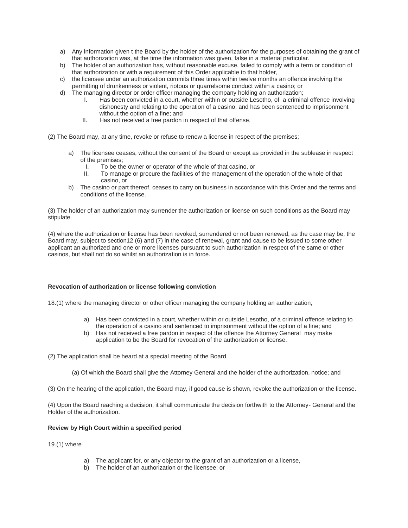- a) Any information given t the Board by the holder of the authorization for the purposes of obtaining the grant of that authorization was, at the time the information was given, false in a material particular.
- b) The holder of an authorization has, without reasonable excuse, failed to comply with a term or condition of that authorization or with a requirement of this Order applicable to that holder,
- c) the licensee under an authorization commits three times within twelve months an offence involving the permitting of drunkenness or violent, riotous or quarrelsome conduct within a casino; or
- d) The managing director or order officer managing the company holding an authorization;
	- I. Has been convicted in a court, whether within or outside Lesotho, of a criminal offence involving dishonesty and relating to the operation of a casino, and has been sentenced to imprisonment without the option of a fine; and
	- II. Has not received a free pardon in respect of that offense.
- (2) The Board may, at any time, revoke or refuse to renew a license in respect of the premises;
	- a) The licensee ceases, without the consent of the Board or except as provided in the sublease in respect of the premises;
		- I. To be the owner or operator of the whole of that casino, or
		- II. To manage or procure the facilities of the management of the operation of the whole of that casino, or
	- b) The casino or part thereof, ceases to carry on business in accordance with this Order and the terms and conditions of the license.

(3) The holder of an authorization may surrender the authorization or license on such conditions as the Board may stipulate.

(4) where the authorization or license has been revoked, surrendered or not been renewed, as the case may be, the Board may, subject to section12 (6) and (7) in the case of renewal, grant and cause to be issued to some other applicant an authorized and one or more licenses pursuant to such authorization in respect of the same or other casinos, but shall not do so whilst an authorization is in force.

#### **Revocation of authorization or license following conviction**

18.(1) where the managing director or other officer managing the company holding an authorization,

- a) Has been convicted in a court, whether within or outside Lesotho, of a criminal offence relating to the operation of a casino and sentenced to imprisonment without the option of a fine; and
- b) Has not received a free pardon in respect of the offence the Attorney General may make application to be the Board for revocation of the authorization or license.

(2) The application shall be heard at a special meeting of the Board.

(a) Of which the Board shall give the Attorney General and the holder of the authorization, notice; and

(3) On the hearing of the application, the Board may, if good cause is shown, revoke the authorization or the license.

(4) Upon the Board reaching a decision, it shall communicate the decision forthwith to the Attorney- General and the Holder of the authorization.

## **Review by High Court within a specified period**

- 19.(1) where
	- a) The applicant for, or any objector to the grant of an authorization or a license,
	- b) The holder of an authorization or the licensee; or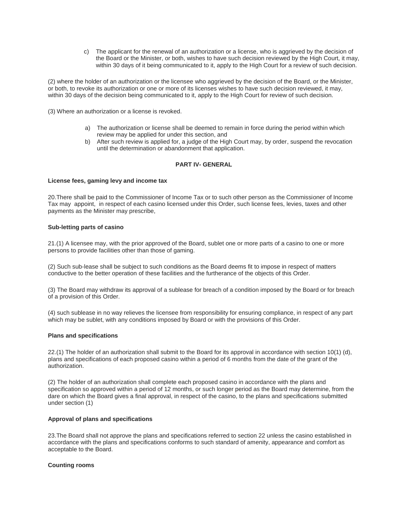c) The applicant for the renewal of an authorization or a license, who is aggrieved by the decision of the Board or the Minister, or both, wishes to have such decision reviewed by the High Court, it may, within 30 days of it being communicated to it, apply to the High Court for a review of such decision.

(2) where the holder of an authorization or the licensee who aggrieved by the decision of the Board, or the Minister, or both, to revoke its authorization or one or more of its licenses wishes to have such decision reviewed, it may, within 30 days of the decision being communicated to it, apply to the High Court for review of such decision.

(3) Where an authorization or a license is revoked.

- a) The authorization or license shall be deemed to remain in force during the period within which review may be applied for under this section, and
- b) After such review is applied for, a judge of the High Court may, by order, suspend the revocation until the determination or abandonment that application.

## **PART IV- GENERAL**

#### **License fees, gaming levy and income tax**

20.There shall be paid to the Commissioner of Income Tax or to such other person as the Commissioner of Income Tax may appoint, in respect of each casino licensed under this Order, such license fees, levies, taxes and other payments as the Minister may prescribe,

#### **Sub-letting parts of casino**

21.(1) A licensee may, with the prior approved of the Board, sublet one or more parts of a casino to one or more persons to provide facilities other than those of gaming.

(2) Such sub-lease shall be subject to such conditions as the Board deems fit to impose in respect of matters conductive to the better operation of these facilities and the furtherance of the objects of this Order.

(3) The Board may withdraw its approval of a sublease for breach of a condition imposed by the Board or for breach of a provision of this Order.

(4) such sublease in no way relieves the licensee from responsibility for ensuring compliance, in respect of any part which may be sublet, with any conditions imposed by Board or with the provisions of this Order.

#### **Plans and specifications**

22.(1) The holder of an authorization shall submit to the Board for its approval in accordance with section 10(1) (d), plans and specifications of each proposed casino within a period of 6 months from the date of the grant of the authorization.

(2) The holder of an authorization shall complete each proposed casino in accordance with the plans and specification so approved within a period of 12 months, or such longer period as the Board may determine, from the dare on which the Board gives a final approval, in respect of the casino, to the plans and specifications submitted under section (1)

#### **Approval of plans and specifications**

23.The Board shall not approve the plans and specifications referred to section 22 unless the casino established in accordance with the plans and specifications conforms to such standard of amenity, appearance and comfort as acceptable to the Board.

#### **Counting rooms**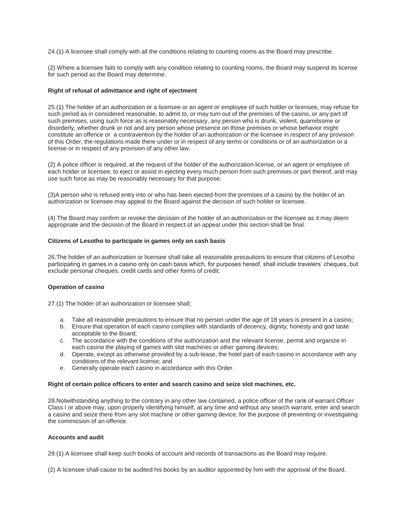24.(1) A licensee shall comply with all the conditions relating to counting rooms as the Board may prescribe.

(2) Where a licensee fails to comply with any condition relating to counting rooms, the Board may suspend its license for such period as the Board may determine.

#### **Right of refusal of admittance and right of ejectment**

25.(1) The holder of an authorization or a licensee or an agent or employee of such holder or licensee, may refuse for such period as in considered reasonable, to admit to, or may turn out of the premises of the casino, or any part of such premises, using such force as is reasonably necessary, any person who is drunk, violent, quarrelsome or disorderly, whether drunk or not and any person whose presence on those premises or whose behavior might constitute an offence or a contravention by the holder of an authorization or the licensee in respect of any provision of this Order, the regulations made there under or in respect of any terms or conditions or of an authorization or a license or in respect of any provision of any other law.

(2) A police officer is required, at the request of the holder of the authorization license, or an agent or employee of each holder or licensee, to eject or assist in ejecting every much person from such premises or part thereof, and may use such force as may be reasonably necessary for that purpose.

(3)A person who is refused entry into or who has been ejected from the premises of a casino by the holder of an authorization or licensee may appeal to the Board against the decision of such holder or licensee.

(4) The Board may confirm or revoke the decision of the holder of an authorization or the licensee as it may deem appropriate and the decision of the Board in respect of an appeal under this section shall be final.

#### **Citizens of Lesotho to participate in games only on cash basis**

26.The holder of an authorization or licensee shall take all reasonable precautions to ensure that citizens of Lesotho participating in games in a casino only on cash basis which, for purposes hereof, shall include travelers' cheques, but exclude personal cheques, credit cards and other forms of credit.

#### **Operation of casino**

27.(1) The holder of an authorization or licensee shall;

- a. Take all reasonable precautions to ensure that no person under the age of 18 years is present in a casino;
- b. Ensure that operation of each casino complies with standards of decency, dignity, honesty and god taste acceptable to the Board;
- c. The accordance with the conditions of the authorization and the relevant license, permit and organize in each casino the playing of games with slot machines or other gaming devices;
- d. Operate, except as otherwise provided by a sub-lease, the hotel part of each casino in accordance with any conditions of the relevant license; and
- e. Generally operate each casino in accordance with this Order.

#### **Right of certain police officers to enter and search casino and seize slot machines, etc.**

28.Notwithstanding anything to the contrary in any other law contained, a police officer of the rank of warrant Officer Class I or above may, upon properly identifying himself, at any time and without any search warrant, enter and search a casino and seize there from any slot machine or other gaming device, for the purpose of preventing or investigating the commission of an offence.

## **Accounts and audit**

29.(1) A licensee shall keep such books of account and records of transactions as the Board may require.

(2) A licensee shall cause to be audited his books by an auditor appointed by him with the approval of the Board.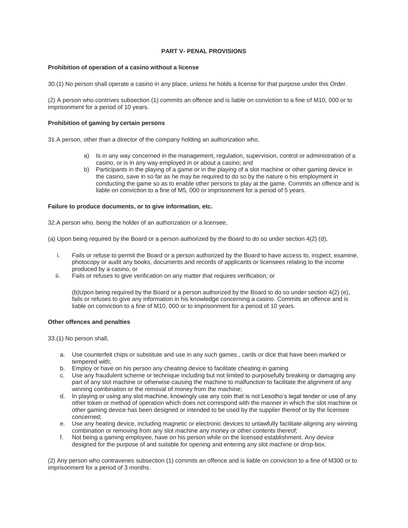## **PART V- PENAL PROVISIONS**

#### **Prohibition of operation of a casino without a license**

30.(1) No person shall operate a casino in any place, unless he holds a license for that purpose under this Order.

(2) A person who contrives subsection (1) commits an offence and is liable on conviction to a fine of M10, 000 or to imprisonment for a period of 10 years.

#### **Prohibition of gaming by certain persons**

31.A person, other than a director of the company holding an authorization who,

- a) Is in any way concerned in the management, regulation, supervision, control or administration of a casino, or is in any way employed in or about a casino; and
- b) Participants in the playing of a game or in the playing of a slot machine or other gaming device in the casino, save in so far as he may be required to do so by the nature o his employment in conducting the game so as to enable other persons to play at the game. Commits an offence and is liable on conviction to a fine of M5, 000 or imprisonment for a period of 5 years.

#### **Failure to produce documents, or to give information, etc.**

32.A person who, being the holder of an authorization or a licensee,

- (a) Upon being required by the Board or a person authorized by the Board to do so under section 4(2) (d),
	- i. Fails or refuse to permit the Board or a person authorized by the Board to have access to, inspect, examine, photocopy or audit any books, documents and records of applicants or licensees relating to the income produced by a casino, or
	- ii. Fails or refuses to give verification on any matter that requires verification; or

(b)Upon being required by the Board or a person authorized by the Board to do so under section 4(2) (e), fails or refuses to give any information in his knowledge concerning a casino. Commits an offence and is liable on conviction to a fine of M10, 000 or to imprisonment for a period of 10 years.

## **Other offences and penalties**

33.(1) No person shall,

- a. Use counterfeit chips or substitute and use in any such games , cards or dice that have been marked or tempered with;
- b. Employ or have on his person any cheating device to facilitate cheating in gaming
- c. Use any fraudulent scheme or technique including but not limited to purposefully breaking or damaging any part of any slot machine or otherwise causing the machine to malfunction to facilitate the alignment of any winning combination or the removal of money from the machine;
- d. In playing or using any slot machine, knowingly use any coin that is not Lesotho's legal tender or use of any other token or method of operation which does not correspond with the manner in which the slot machine or other gaming device has been designed or intended to be used by the supplier thereof or by the licensee concerned;
- e. Use any heating device, including magnetic or electronic devices to unlawfully facilitate aligning any winning combination or removing from any slot machine any money or other contents thereof;
- f. Not being a gaming employee, have on his person while on the licensed establishment. Any device designed for the purpose of and suitable for opening and entering any slot machine or drop-box.

(2) Any person who contravenes subsection (1) commits an offence and is liable on conviction to a fine of M300 or to imprisonment for a period of 3 months.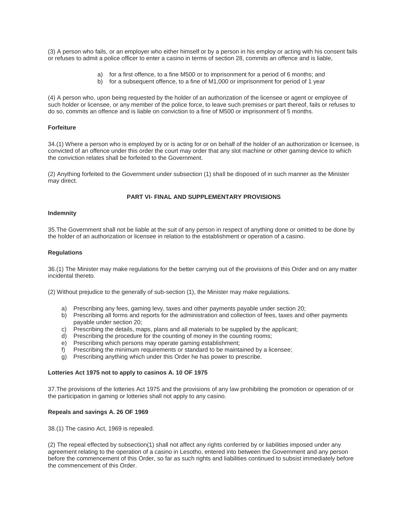(3) A person who fails, or an employer who either himself or by a person in his employ or acting with his consent fails or refuses to admit a police officer to enter a casino in terms of section 28, commits an offence and is liable,

- a) for a first offence, to a fine M500 or to imprisonment for a period of 6 months; and
- b) for a subsequent offence, to a fine of M1,000 or imprisonment for period of 1 year

(4) A person who, upon being requested by the holder of an authorization of the licensee or agent or employee of such holder or licensee, or any member of the police force, to leave such premises or part thereof, fails or refuses to do so, commits an offence and is liable on conviction to a fine of M500 or imprisonment of 5 months.

#### **Forfeiture**

34.(1) Where a person who is employed by or is acting for or on behalf of the holder of an authorization or licensee, is convicted of an offence under this order the court may order that any slot machine or other gaming device to which the conviction relates shall be forfeited to the Government.

(2) Anything forfeited to the Government under subsection (1) shall be disposed of in such manner as the Minister may direct.

#### **PART VI- FINAL AND SUPPLEMENTARY PROVISIONS**

#### **Indemnity**

35.The Government shall not be liable at the suit of any person in respect of anything done or omitted to be done by the holder of an authorization or licensee in relation to the establishment or operation of a casino.

#### **Regulations**

36.(1) The Minister may make regulations for the better carrying out of the provisions of this Order and on any matter incidental thereto.

(2) Without prejudice to the generally of sub-section (1), the Minister may make regulations.

- a) Prescribing any fees, gaming levy, taxes and other payments payable under section 20;
- b) Prescribing all forms and reports for the administration and collection of fees, taxes and other payments payable under section 20;
- c) Prescribing the details, maps, plans and all materials to be supplied by the applicant;
- d) Prescribing the procedure for the counting of money in the counting rooms;
- e) Prescribing which persons may operate gaming establishment;
- f) Prescribing the minimum requirements or standard to be maintained by a licensee;
- g) Prescribing anything which under this Order he has power to prescribe.

#### **Lotteries Act 1975 not to apply to casinos A. 10 OF 1975**

37.The provisions of the lotteries Act 1975 and the provisions of any law prohibiting the promotion or operation of or the participation in gaming or lotteries shall not apply to any casino.

#### **Repeals and savings A. 26 OF 1969**

38.(1) The casino Act, 1969 is repealed.

(2) The repeal effected by subsection(1) shall not affect any rights conferred by or liabilities imposed under any agreement relating to the operation of a casino in Lesotho, entered into between the Government and any person before the commencement of this Order, so far as such rights and liabilities continued to subsist immediately before the commencement of this Order.